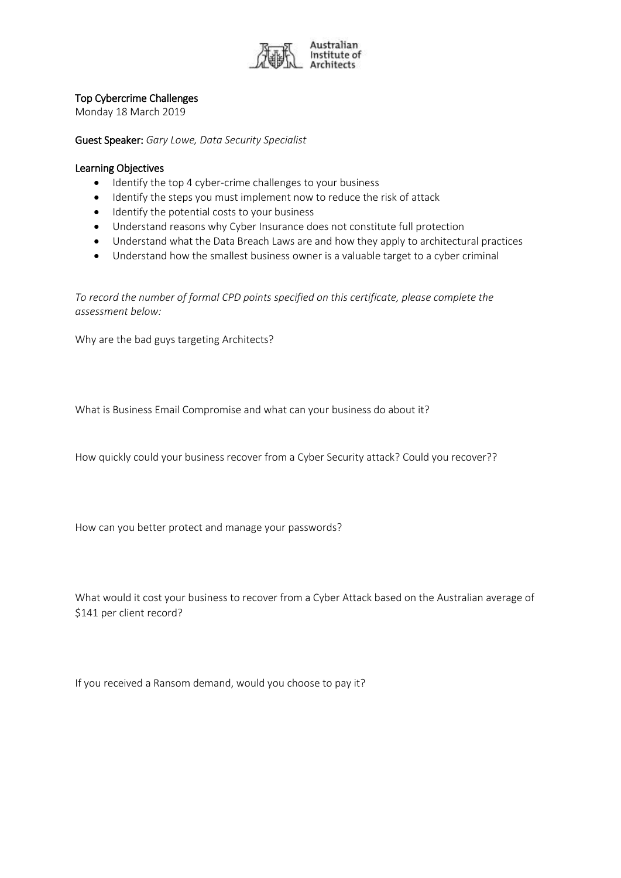

## Top Cybercrime Challenges

Monday 18 March 2019

Guest Speaker: *Gary Lowe, Data Security Specialist*

## Learning Objectives

- Identify the top 4 cyber-crime challenges to your business
- Identify the steps you must implement now to reduce the risk of attack
- Identify the potential costs to your business
- Understand reasons why Cyber Insurance does not constitute full protection
- Understand what the Data Breach Laws are and how they apply to architectural practices
- Understand how the smallest business owner is a valuable target to a cyber criminal

*To record the number of formal CPD points specified on this certificate, please complete the assessment below:*

Why are the bad guys targeting Architects?

What is Business Email Compromise and what can your business do about it?

How quickly could your business recover from a Cyber Security attack? Could you recover??

How can you better protect and manage your passwords?

What would it cost your business to recover from a Cyber Attack based on the Australian average of \$141 per client record?

If you received a Ransom demand, would you choose to pay it?